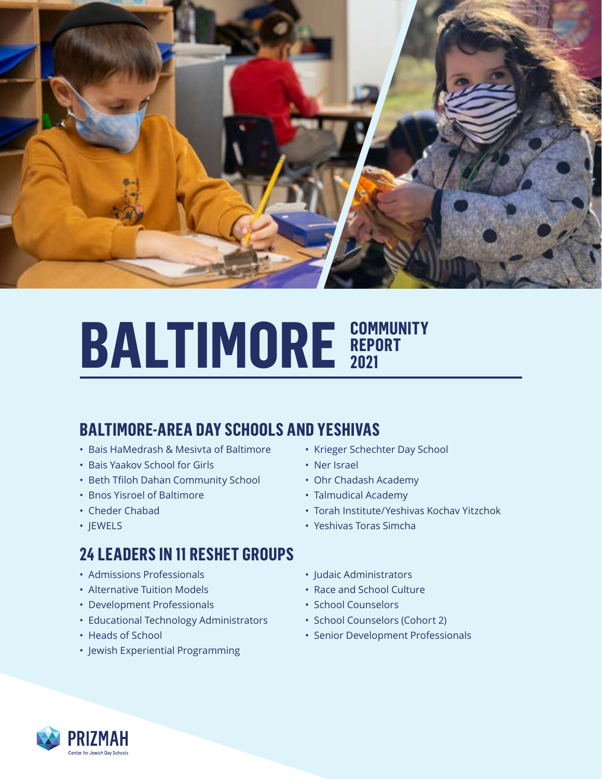

## **BALTIMORE SEPORT REPORT 2021**

## **BALTIMORE-AREA DAY SCHOOLS AND YESHIVAS**

- Bais HaMedrash & Mesivta of Baltimore
- Bais Yaakov School for Girls
- Beth Tfiloh Dahan Community School
- Bnos Yisroel of Baltimore
- Cheder Chabad
- JEWELS

#### **24 LEADERS IN 11 RESHET GROUPS**

- Admissions Professionals
- Alternative Tuition Models
- Development Professionals
- Educational Technology Administrators
- Heads of School
- Jewish Experiential Programming
- Krieger Schechter Day School
- Ner Israel
- Ohr Chadash Academy
- Talmudical Academy
- Torah Institute/Yeshivas Kochav Yitzchok
- Yeshivas Toras Simcha
- Judaic Administrators
- Race and School Culture
- School Counselors
- School Counselors (Cohort 2)
- Senior Development Professionals